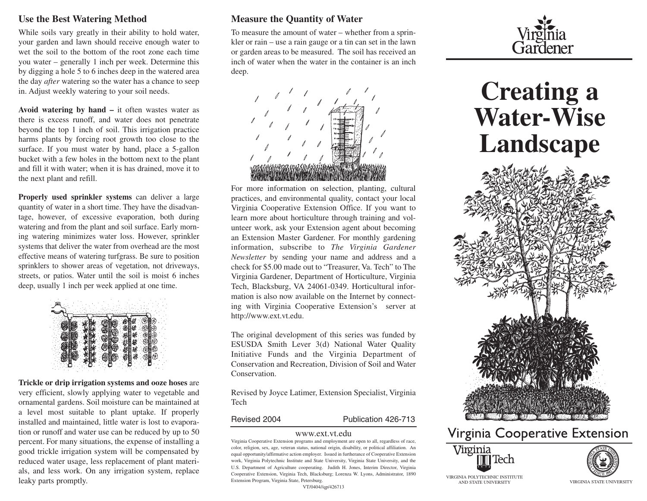#### **Use the Best Watering Method**

While soils vary greatly in their ability to hold water, your garden and lawn should receive enough water to wet the soil to the bottom of the root zone each time you water – generally 1 inch per week. Determine this by digging a hole 5 to 6 inches deep in the watered area the day *after* watering so the water has a chance to seep in. Adjust weekly watering to your soil needs.

**Avoid watering by hand –** it often wastes water as there is excess runoff, and water does not penetrate beyond the top 1 inch of soil. This irrigation practice harms plants by forcing root growth too close to the surface. If you must water by hand, place a 5-gallon bucket with a few holes in the bottom next to the plant and fill it with water; when it is has drained, move it to the next plant and refill.

**Properly used sprinkler systems** can deliver a large quantity of water in a short time. They have the disadvantage, however, of excessive evaporation, both during watering and from the plant and soil surface. Early morning watering minimizes water loss. However, sprinkler systems that deliver the water from overhead are the most effective means of watering turfgrass. Be sure to position sprinklers to shower areas of vegetation, not driveways, streets, or patios. Water until the soil is moist 6 inches deep, usually 1 inch per week applied at one time.



**Trickle or drip irrigation systems and ooze hoses** are very efficient, slowly applying water to vegetable and ornamental gardens. Soil moisture can be maintained at a level most suitable to plant uptake. If properly installed and maintained, little water is lost to evaporation or runoff and water use can be reduced by up to 50 percent. For many situations, the expense of installing a good trickle irrigation system will be compensated by reduced water usage, less replacement of plant materials, and less work. On any irrigation system, replace leaky parts promptly.

#### **Measure the Quantity of Water**

To measure the amount of water – whether from a sprinkler or rain – use a rain gauge or a tin can set in the lawn or garden areas to be measured. The soil has received an inch of water when the water in the container is an inch deep.



For more information on selection, planting, cultural practices, and environmental quality, contact your local Virginia Cooperative Extension Office. If you want to learn more about horticulture through training and volunteer work, ask your Extension agent about becoming an Extension Master Gardener. For monthly gardening information, subscribe to *The Virginia Gardener Newsletter* by sending your name and address and a check for \$5.00 made out to "Treasurer, Va. Tech" to The Virginia Gardener, Department of Horticulture, Virginia Tech, Blacksburg, VA 24061-0349. Horticultural information is also now available on the Internet by connecting with Virginia Cooperative Extension's server at http://www.ext.vt.edu.

The original development of this series was funded by ESUSDA Smith Lever 3(d) National Water Quality Initiative Funds and the Virginia Department of Conservation and Recreation, Division of Soil and Water Conservation.

Revised by Joyce Latimer, Extension Specialist, Virginia Tech

Revised 2004 Publication 426-713

#### www.ext.vt.edu

Virginia Cooperative Extension programs and employment are open to all, regardless of race, color, religion, sex, age, veteran status, national origin, disability, or political affiliation. An equal opportunity/affirmative action employer. Issued in furtherance of Cooperative Extension work, Virginia Polytechnic Institute and State University, Virginia State University, and the U.S. Department of Agriculture cooperating. Judith H. Jones, Interim Director, Virginia Cooperative Extension, Virginia Tech, Blacksburg; Lorenza W. Lyons, Administrator, 1890 Extension Program, Virginia State, Petersburg.

VT/0404//qp/426713



# **Creating a Water-Wise Landscape**



# Virginia Cooperative Extension





AND STATE UNIVERSITY VIRGINIA STATE UNIVERSITY